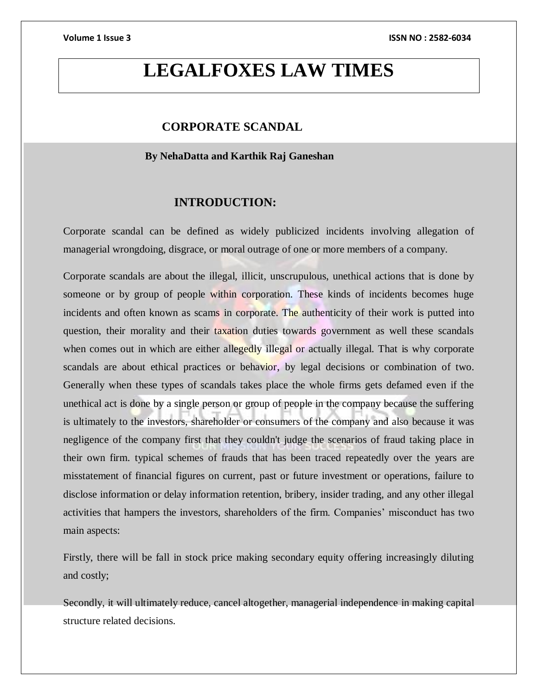# **LEGALFOXES LAW TIMES**

# **CORPORATE SCANDAL**

### **By NehaDatta and Karthik Raj Ganeshan**

# **INTRODUCTION:**

Corporate scandal can be defined as widely publicized incidents involving allegation of managerial wrongdoing, disgrace, or moral outrage of one or more members of a company.

Corporate scandals are about the illegal, illicit, unscrupulous, unethical actions that is done by someone or by group of people within corporation. These kinds of incidents becomes huge incidents and often known as scams in corporate. The authenticity of their work is putted into question, their morality and their taxation duties towards government as well these scandals when comes out in which are either allegedly illegal or actually illegal. That is why corporate scandals are about ethical practices or behavior, by legal decisions or combination of two. Generally when these types of scandals takes place the whole firms gets defamed even if the unethical act is done by a single person or group of people in the company because the suffering is ultimately to the investors, shareholder or consumers of the company and also because it was negligence of the company first that they couldn't judge the scenarios of fraud taking place in their own firm. typical schemes of frauds that has been traced repeatedly over the years are misstatement of financial figures on current, past or future investment or operations, failure to disclose information or delay information retention, bribery, insider trading, and any other illegal activities that hampers the investors, shareholders of the firm. Companies' misconduct has two main aspects:

Firstly, there will be fall in stock price making secondary equity offering increasingly diluting and costly;

Secondly, it will ultimately reduce, cancel altogether, managerial independence in making capital structure related decisions.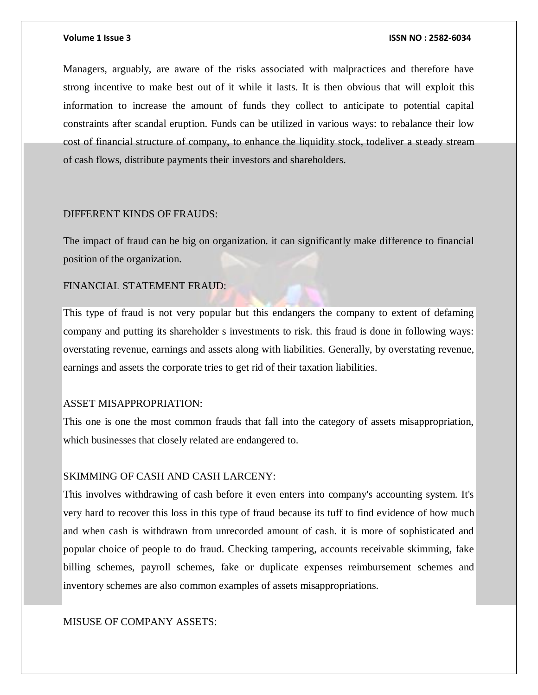Managers, arguably, are aware of the risks associated with malpractices and therefore have strong incentive to make best out of it while it lasts. It is then obvious that will exploit this information to increase the amount of funds they collect to anticipate to potential capital constraints after scandal eruption. Funds can be utilized in various ways: to rebalance their low cost of financial structure of company, to enhance the liquidity stock, todeliver a steady stream of cash flows, distribute payments their investors and shareholders.

#### DIFFERENT KINDS OF FRAUDS:

The impact of fraud can be big on organization. it can significantly make difference to financial position of the organization.

### FINANCIAL STATEMENT FRAUD:

This type of fraud is not very popular but this endangers the company to extent of defaming company and putting its shareholder s investments to risk. this fraud is done in following ways: overstating revenue, earnings and assets along with liabilities. Generally, by overstating revenue, earnings and assets the corporate tries to get rid of their taxation liabilities.

#### ASSET MISAPPROPRIATION:

This one is one the most common frauds that fall into the category of assets misappropriation, which businesses that closely related are endangered to.

#### SKIMMING OF CASH AND CASH LARCENY:

This involves withdrawing of cash before it even enters into company's accounting system. It's very hard to recover this loss in this type of fraud because its tuff to find evidence of how much and when cash is withdrawn from unrecorded amount of cash. it is more of sophisticated and popular choice of people to do fraud. Checking tampering, accounts receivable skimming, fake billing schemes, payroll schemes, fake or duplicate expenses reimbursement schemes and inventory schemes are also common examples of assets misappropriations.

### MISUSE OF COMPANY ASSETS: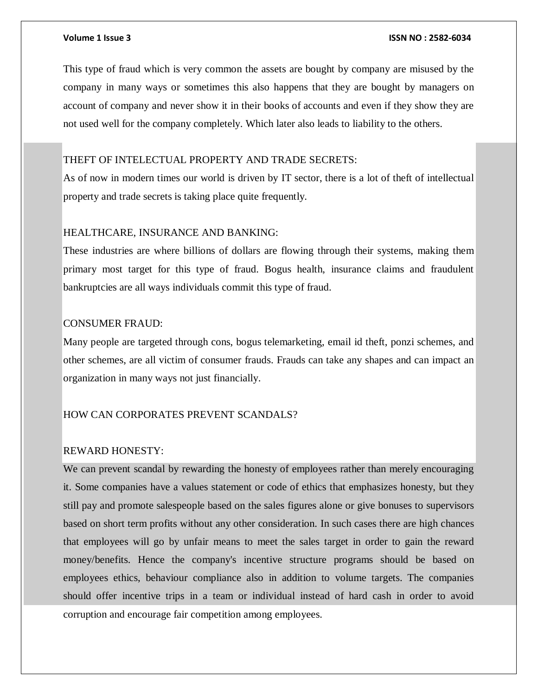This type of fraud which is very common the assets are bought by company are misused by the company in many ways or sometimes this also happens that they are bought by managers on account of company and never show it in their books of accounts and even if they show they are not used well for the company completely. Which later also leads to liability to the others.

### THEFT OF INTELECTUAL PROPERTY AND TRADE SECRETS:

As of now in modern times our world is driven by IT sector, there is a lot of theft of intellectual property and trade secrets is taking place quite frequently.

### HEALTHCARE, INSURANCE AND BANKING:

These industries are where billions of dollars are flowing through their systems, making them primary most target for this type of fraud. Bogus health, insurance claims and fraudulent bankruptcies are all ways individuals commit this type of fraud.

### CONSUMER FRAUD:

Many people are targeted through cons, bogus telemarketing, email id theft, ponzi schemes, and other schemes, are all victim of consumer frauds. Frauds can take any shapes and can impact an organization in many ways not just financially.

### HOW CAN CORPORATES PREVENT SCANDALS?

### REWARD HONESTY:

We can prevent scandal by rewarding the honesty of employees rather than merely encouraging it. Some companies have a values statement or code of ethics that emphasizes honesty, but they still pay and promote salespeople based on the sales figures alone or give bonuses to supervisors based on short term profits without any other consideration. In such cases there are high chances that employees will go by unfair means to meet the sales target in order to gain the reward money/benefits. Hence the company's incentive structure programs should be based on employees ethics, behaviour compliance also in addition to volume targets. The companies should offer incentive trips in a team or individual instead of hard cash in order to avoid corruption and encourage fair competition among employees.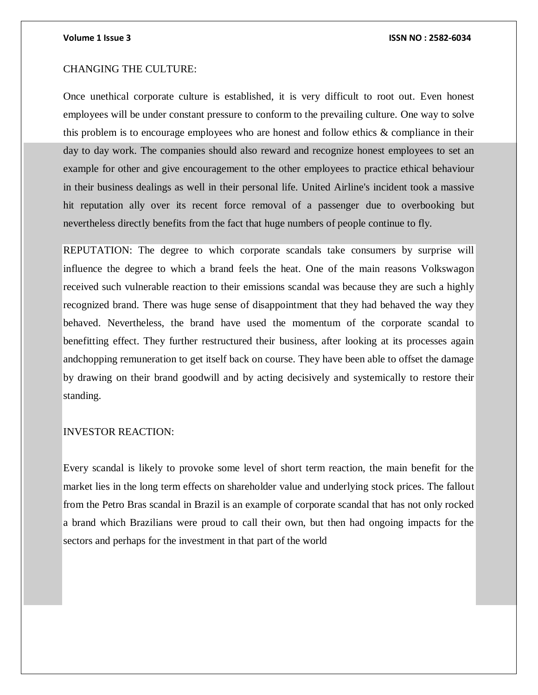### CHANGING THE CULTURE:

Once unethical corporate culture is established, it is very difficult to root out. Even honest employees will be under constant pressure to conform to the prevailing culture. One way to solve this problem is to encourage employees who are honest and follow ethics & compliance in their day to day work. The companies should also reward and recognize honest employees to set an example for other and give encouragement to the other employees to practice ethical behaviour in their business dealings as well in their personal life. United Airline's incident took a massive hit reputation ally over its recent force removal of a passenger due to overbooking but nevertheless directly benefits from the fact that huge numbers of people continue to fly.

REPUTATION: The degree to which corporate scandals take consumers by surprise will influence the degree to which a brand feels the heat. One of the main reasons Volkswagon received such vulnerable reaction to their emissions scandal was because they are such a highly recognized brand. There was huge sense of disappointment that they had behaved the way they behaved. Nevertheless, the brand have used the momentum of the corporate scandal to benefitting effect. They further restructured their business, after looking at its processes again andchopping remuneration to get itself back on course. They have been able to offset the damage by drawing on their brand goodwill and by acting decisively and systemically to restore their standing.

#### INVESTOR REACTION:

Every scandal is likely to provoke some level of short term reaction, the main benefit for the market lies in the long term effects on shareholder value and underlying stock prices. The fallout from the Petro Bras scandal in Brazil is an example of corporate scandal that has not only rocked a brand which Brazilians were proud to call their own, but then had ongoing impacts for the sectors and perhaps for the investment in that part of the world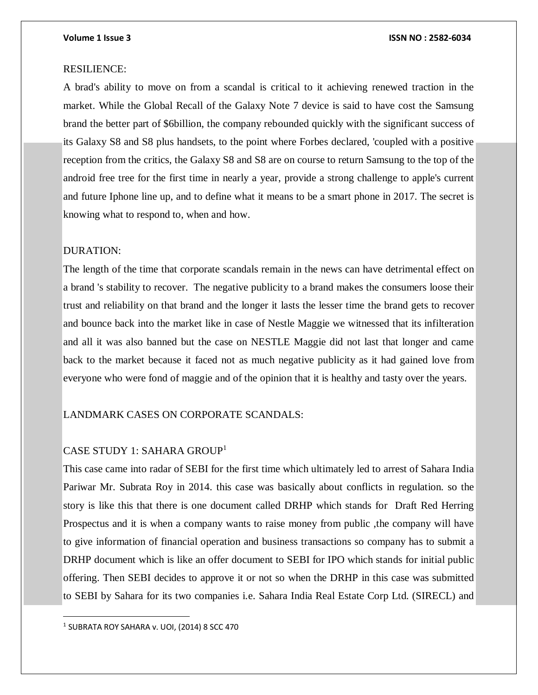#### RESILIENCE:

A brad's ability to move on from a scandal is critical to it achieving renewed traction in the market. While the Global Recall of the Galaxy Note 7 device is said to have cost the Samsung brand the better part of \$6billion, the company rebounded quickly with the significant success of its Galaxy S8 and S8 plus handsets, to the point where Forbes declared, 'coupled with a positive reception from the critics, the Galaxy S8 and S8 are on course to return Samsung to the top of the android free tree for the first time in nearly a year, provide a strong challenge to apple's current and future Iphone line up, and to define what it means to be a smart phone in 2017. The secret is knowing what to respond to, when and how.

### DURATION:

The length of the time that corporate scandals remain in the news can have detrimental effect on a brand 's stability to recover. The negative publicity to a brand makes the consumers loose their trust and reliability on that brand and the longer it lasts the lesser time the brand gets to recover and bounce back into the market like in case of Nestle Maggie we witnessed that its infilteration and all it was also banned but the case on NESTLE Maggie did not last that longer and came back to the market because it faced not as much negative publicity as it had gained love from everyone who were fond of maggie and of the opinion that it is healthy and tasty over the years.

### LANDMARK CASES ON CORPORATE SCANDALS:

## CASE STUDY 1: SAHARA GROUP<sup>1</sup>

This case came into radar of SEBI for the first time which ultimately led to arrest of Sahara India Pariwar Mr. Subrata Roy in 2014. this case was basically about conflicts in regulation. so the story is like this that there is one document called DRHP which stands for Draft Red Herring Prospectus and it is when a company wants to raise money from public ,the company will have to give information of financial operation and business transactions so company has to submit a DRHP document which is like an offer document to SEBI for IPO which stands for initial public offering. Then SEBI decides to approve it or not so when the DRHP in this case was submitted to SEBI by Sahara for its two companies i.e. Sahara India Real Estate Corp Ltd. (SIRECL) and

 $^1$  SUBRATA ROY SAHARA v. UOI, (2014) 8 SCC 470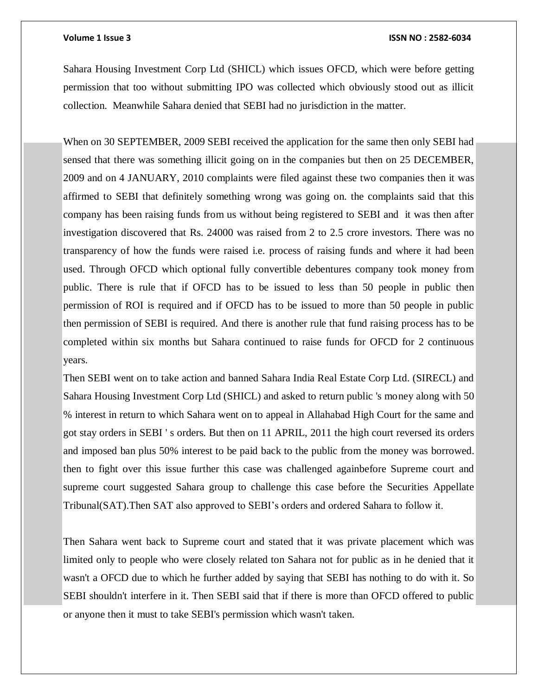Sahara Housing Investment Corp Ltd (SHICL) which issues OFCD, which were before getting permission that too without submitting IPO was collected which obviously stood out as illicit collection. Meanwhile Sahara denied that SEBI had no jurisdiction in the matter.

When on 30 SEPTEMBER, 2009 SEBI received the application for the same then only SEBI had sensed that there was something illicit going on in the companies but then on 25 DECEMBER, 2009 and on 4 JANUARY, 2010 complaints were filed against these two companies then it was affirmed to SEBI that definitely something wrong was going on. the complaints said that this company has been raising funds from us without being registered to SEBI and it was then after investigation discovered that Rs. 24000 was raised from 2 to 2.5 crore investors. There was no transparency of how the funds were raised i.e. process of raising funds and where it had been used. Through OFCD which optional fully convertible debentures company took money from public. There is rule that if OFCD has to be issued to less than 50 people in public then permission of ROI is required and if OFCD has to be issued to more than 50 people in public then permission of SEBI is required. And there is another rule that fund raising process has to be completed within six months but Sahara continued to raise funds for OFCD for 2 continuous years.

Then SEBI went on to take action and banned Sahara India Real Estate Corp Ltd. (SIRECL) and Sahara Housing Investment Corp Ltd (SHICL) and asked to return public 's money along with 50 % interest in return to which Sahara went on to appeal in Allahabad High Court for the same and got stay orders in SEBI ' s orders. But then on 11 APRIL, 2011 the high court reversed its orders and imposed ban plus 50% interest to be paid back to the public from the money was borrowed. then to fight over this issue further this case was challenged againbefore Supreme court and supreme court suggested Sahara group to challenge this case before the Securities Appellate Tribunal(SAT).Then SAT also approved to SEBI's orders and ordered Sahara to follow it.

Then Sahara went back to Supreme court and stated that it was private placement which was limited only to people who were closely related ton Sahara not for public as in he denied that it wasn't a OFCD due to which he further added by saying that SEBI has nothing to do with it. So SEBI shouldn't interfere in it. Then SEBI said that if there is more than OFCD offered to public or anyone then it must to take SEBI's permission which wasn't taken.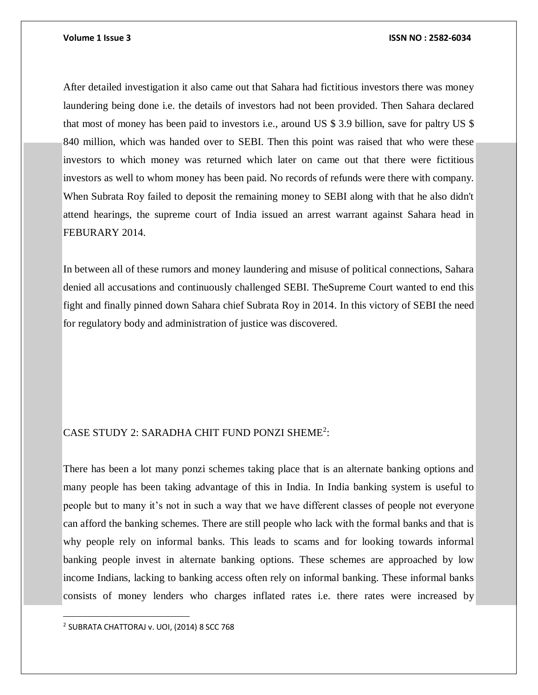After detailed investigation it also came out that Sahara had fictitious investors there was money laundering being done i.e. the details of investors had not been provided. Then Sahara declared that most of money has been paid to investors i.e., around US \$ 3.9 billion, save for paltry US \$ 840 million, which was handed over to SEBI. Then this point was raised that who were these investors to which money was returned which later on came out that there were fictitious investors as well to whom money has been paid. No records of refunds were there with company. When Subrata Roy failed to deposit the remaining money to SEBI along with that he also didn't attend hearings, the supreme court of India issued an arrest warrant against Sahara head in FEBURARY 2014.

In between all of these rumors and money laundering and misuse of political connections, Sahara denied all accusations and continuously challenged SEBI. TheSupreme Court wanted to end this fight and finally pinned down Sahara chief Subrata Roy in 2014. In this victory of SEBI the need for regulatory body and administration of justice was discovered.

# CASE STUDY 2: SARADHA CHIT FUND PONZI SHEME<sup>2</sup>:

There has been a lot many ponzi schemes taking place that is an alternate banking options and many people has been taking advantage of this in India. In India banking system is useful to people but to many it's not in such a way that we have different classes of people not everyone can afford the banking schemes. There are still people who lack with the formal banks and that is why people rely on informal banks. This leads to scams and for looking towards informal banking people invest in alternate banking options. These schemes are approached by low income Indians, lacking to banking access often rely on informal banking. These informal banks consists of money lenders who charges inflated rates i.e. there rates were increased by

2 SUBRATA CHATTORAJ v. UOI, (2014) 8 SCC 768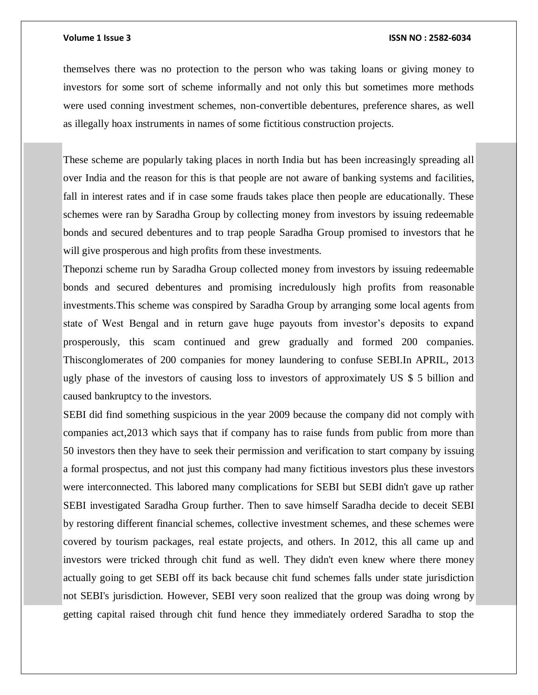themselves there was no protection to the person who was taking loans or giving money to investors for some sort of scheme informally and not only this but sometimes more methods were used conning investment schemes, non-convertible debentures, preference shares, as well as illegally hoax instruments in names of some fictitious construction projects.

These scheme are popularly taking places in north India but has been increasingly spreading all over India and the reason for this is that people are not aware of banking systems and facilities, fall in interest rates and if in case some frauds takes place then people are educationally. These schemes were ran by Saradha Group by collecting money from investors by issuing redeemable bonds and secured debentures and to trap people Saradha Group promised to investors that he will give prosperous and high profits from these investments.

Theponzi scheme run by Saradha Group collected money from investors by issuing redeemable bonds and secured debentures and promising incredulously high profits from reasonable investments.This scheme was conspired by Saradha Group by arranging some local agents from state of West Bengal and in return gave huge payouts from investor's deposits to expand prosperously, this scam continued and grew gradually and formed 200 companies. Thisconglomerates of 200 companies for money laundering to confuse SEBI.In APRIL, 2013 ugly phase of the investors of causing loss to investors of approximately US \$ 5 billion and caused bankruptcy to the investors.

SEBI did find something suspicious in the year 2009 because the company did not comply with companies act,2013 which says that if company has to raise funds from public from more than 50 investors then they have to seek their permission and verification to start company by issuing a formal prospectus, and not just this company had many fictitious investors plus these investors were interconnected. This labored many complications for SEBI but SEBI didn't gave up rather SEBI investigated Saradha Group further. Then to save himself Saradha decide to deceit SEBI by restoring different financial schemes, collective investment schemes, and these schemes were covered by tourism packages, real estate projects, and others. In 2012, this all came up and investors were tricked through chit fund as well. They didn't even knew where there money actually going to get SEBI off its back because chit fund schemes falls under state jurisdiction not SEBI's jurisdiction. However, SEBI very soon realized that the group was doing wrong by getting capital raised through chit fund hence they immediately ordered Saradha to stop the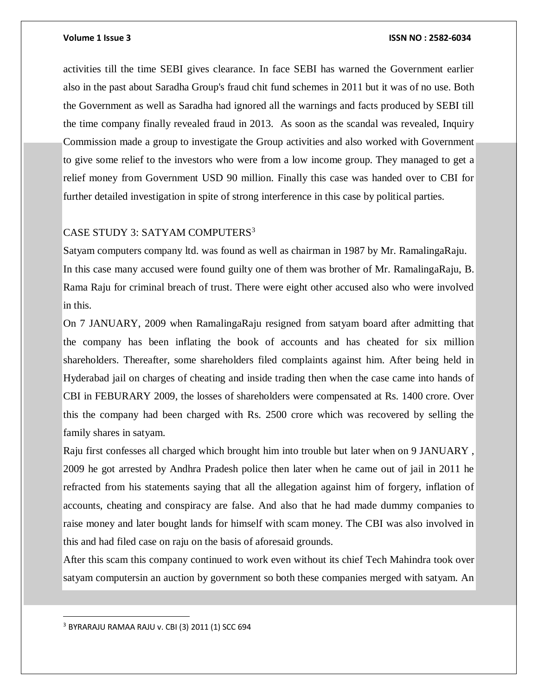activities till the time SEBI gives clearance. In face SEBI has warned the Government earlier also in the past about Saradha Group's fraud chit fund schemes in 2011 but it was of no use. Both the Government as well as Saradha had ignored all the warnings and facts produced by SEBI till the time company finally revealed fraud in 2013. As soon as the scandal was revealed, Inquiry Commission made a group to investigate the Group activities and also worked with Government to give some relief to the investors who were from a low income group. They managed to get a relief money from Government USD 90 million. Finally this case was handed over to CBI for further detailed investigation in spite of strong interference in this case by political parties.

### CASE STUDY 3: SATYAM COMPUTERS<sup>3</sup>

Satyam computers company ltd. was found as well as chairman in 1987 by Mr. RamalingaRaju. In this case many accused were found guilty one of them was brother of Mr. RamalingaRaju, B. Rama Raju for criminal breach of trust. There were eight other accused also who were involved in this.

On 7 JANUARY, 2009 when RamalingaRaju resigned from satyam board after admitting that the company has been inflating the book of accounts and has cheated for six million shareholders. Thereafter, some shareholders filed complaints against him. After being held in Hyderabad jail on charges of cheating and inside trading then when the case came into hands of CBI in FEBURARY 2009, the losses of shareholders were compensated at Rs. 1400 crore. Over this the company had been charged with Rs. 2500 crore which was recovered by selling the family shares in satyam.

Raju first confesses all charged which brought him into trouble but later when on 9 JANUARY , 2009 he got arrested by Andhra Pradesh police then later when he came out of jail in 2011 he refracted from his statements saying that all the allegation against him of forgery, inflation of accounts, cheating and conspiracy are false. And also that he had made dummy companies to raise money and later bought lands for himself with scam money. The CBI was also involved in this and had filed case on raju on the basis of aforesaid grounds.

After this scam this company continued to work even without its chief Tech Mahindra took over satyam computersin an auction by government so both these companies merged with satyam. An

<sup>3</sup> BYRARAJU RAMAA RAJU v. CBI (3) 2011 (1) SCC 694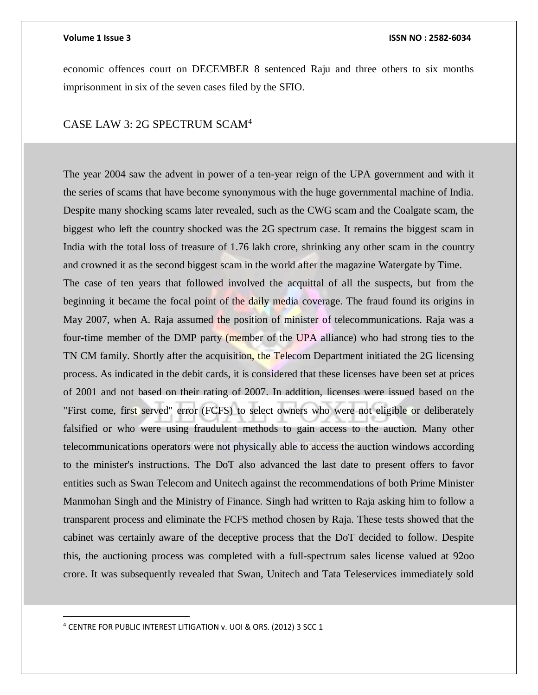economic offences court on DECEMBER 8 sentenced Raju and three others to six months imprisonment in six of the seven cases filed by the SFIO.

# CASE LAW 3: 2G SPECTRUM SCAM<sup>4</sup>

The year 2004 saw the advent in power of a ten-year reign of the UPA government and with it the series of scams that have become synonymous with the huge governmental machine of India. Despite many shocking scams later revealed, such as the CWG scam and the Coalgate scam, the biggest who left the country shocked was the 2G spectrum case. It remains the biggest scam in India with the total loss of treasure of 1.76 lakh crore, shrinking any other scam in the country and crowned it as the second biggest scam in the world after the magazine Watergate by Time. The case of ten years that followed involved the acquittal of all the suspects, but from the beginning it became the focal point of the daily media coverage. The fraud found its origins in May 2007, when A. Raja assumed the position of minister of telecommunications. Raja was a four-time member of the DMP party (member of the UPA alliance) who had strong ties to the TN CM family. Shortly after the acquisition, the Telecom Department initiated the 2G licensing process. As indicated in the debit cards, it is considered that these licenses have been set at prices of 2001 and not based on their rating of 2007. In addition, licenses were issued based on the "First come, first served" error (FCFS) to select owners who were not eligible or deliberately falsified or who were using fraudulent methods to gain access to the auction. Many other telecommunications operators were not physically able to access the auction windows according to the minister's instructions. The DoT also advanced the last date to present offers to favor entities such as Swan Telecom and Unitech against the recommendations of both Prime Minister Manmohan Singh and the Ministry of Finance. Singh had written to Raja asking him to follow a transparent process and eliminate the FCFS method chosen by Raja. These tests showed that the cabinet was certainly aware of the deceptive process that the DoT decided to follow. Despite this, the auctioning process was completed with a full-spectrum sales license valued at 92oo crore. It was subsequently revealed that Swan, Unitech and Tata Teleservices immediately sold

<sup>4</sup> CENTRE FOR PUBLIC INTEREST LITIGATION v. UOI & ORS. (2012) 3 SCC 1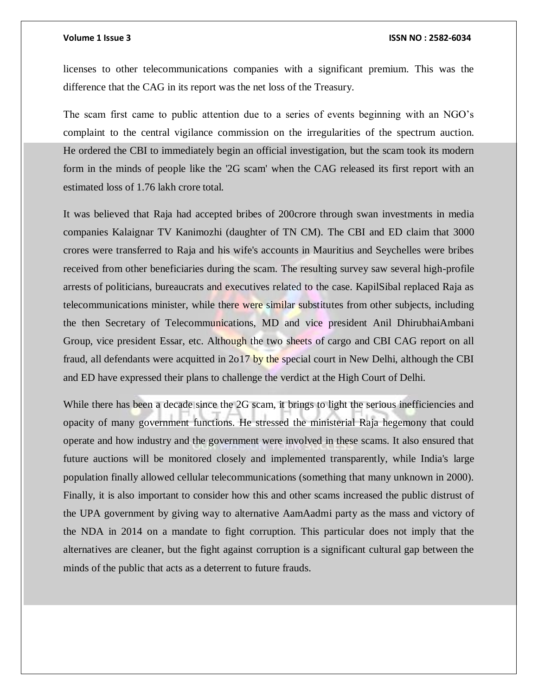licenses to other telecommunications companies with a significant premium. This was the difference that the CAG in its report was the net loss of the Treasury.

The scam first came to public attention due to a series of events beginning with an NGO's complaint to the central vigilance commission on the irregularities of the spectrum auction. He ordered the CBI to immediately begin an official investigation, but the scam took its modern form in the minds of people like the '2G scam' when the CAG released its first report with an estimated loss of 1.76 lakh crore total.

It was believed that Raja had accepted bribes of 200crore through swan investments in media companies Kalaignar TV Kanimozhi (daughter of TN CM). The CBI and ED claim that 3000 crores were transferred to Raja and his wife's accounts in Mauritius and Seychelles were bribes received from other beneficiaries during the scam. The resulting survey saw several high-profile arrests of politicians, bureaucrats and executives related to the case. KapilSibal replaced Raja as telecommunications minister, while there were similar substitutes from other subjects, including the then Secretary of Telecommunications, MD and vice president Anil DhirubhaiAmbani Group, vice president Essar, etc. Although the two sheets of cargo and CBI CAG report on all fraud, all defendants were acquitted in 2o17 by the special court in New Delhi, although the CBI and ED have expressed their plans to challenge the verdict at the High Court of Delhi.

While there has been a decade since the 2G scam, it brings to light the serious inefficiencies and opacity of many government functions. He stressed the ministerial Raja hegemony that could operate and how industry and the government were involved in these scams. It also ensured that future auctions will be monitored closely and implemented transparently, while India's large population finally allowed cellular telecommunications (something that many unknown in 2000). Finally, it is also important to consider how this and other scams increased the public distrust of the UPA government by giving way to alternative AamAadmi party as the mass and victory of the NDA in 2014 on a mandate to fight corruption. This particular does not imply that the alternatives are cleaner, but the fight against corruption is a significant cultural gap between the minds of the public that acts as a deterrent to future frauds.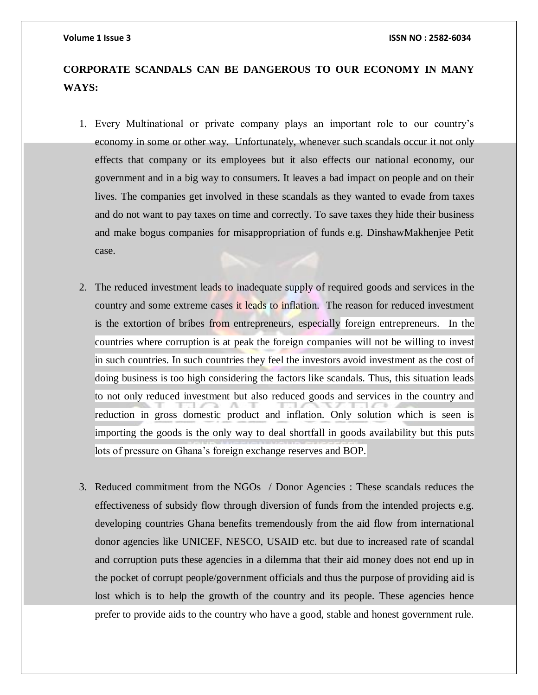# **CORPORATE SCANDALS CAN BE DANGEROUS TO OUR ECONOMY IN MANY WAYS:**

- 1. Every Multinational or private company plays an important role to our country's economy in some or other way. Unfortunately, whenever such scandals occur it not only effects that company or its employees but it also effects our national economy, our government and in a big way to consumers. It leaves a bad impact on people and on their lives. The companies get involved in these scandals as they wanted to evade from taxes and do not want to pay taxes on time and correctly. To save taxes they hide their business and make bogus companies for misappropriation of funds e.g. DinshawMakhenjee Petit case.
- 2. The reduced investment leads to inadequate supply of required goods and services in the country and some extreme cases it leads to inflation. The reason for reduced investment is the extortion of bribes from entrepreneurs, especially foreign entrepreneurs. In the countries where corruption is at peak the foreign companies will not be willing to invest in such countries. In such countries they feel the investors avoid investment as the cost of doing business is too high considering the factors like scandals. Thus, this situation leads to not only reduced investment but also reduced goods and services in the country and reduction in gross domestic product and inflation. Only solution which is seen is importing the goods is the only way to deal shortfall in goods availability but this puts lots of pressure on Ghana's foreign exchange reserves and BOP.
- 3. Reduced commitment from the NGOs / Donor Agencies : These scandals reduces the effectiveness of subsidy flow through diversion of funds from the intended projects e.g. developing countries Ghana benefits tremendously from the aid flow from international donor agencies like UNICEF, NESCO, USAID etc. but due to increased rate of scandal and corruption puts these agencies in a dilemma that their aid money does not end up in the pocket of corrupt people/government officials and thus the purpose of providing aid is lost which is to help the growth of the country and its people. These agencies hence prefer to provide aids to the country who have a good, stable and honest government rule.